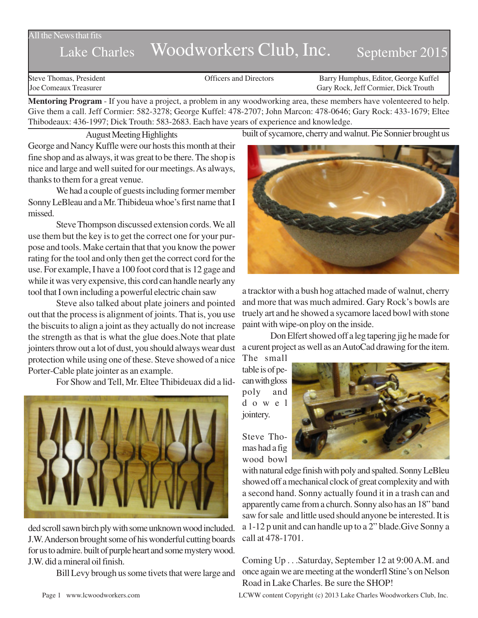#### All the News that fits

# Lake Charles Woodworkers Club, Inc. September 2015

Steve Thomas, President **State Concrete Concrete Concrete Concrete Concrete Concrete Concrete Concrete Concrete Concrete Concrete Concrete Concrete Concrete Concrete Concrete Concrete Concrete Concrete Concrete Concrete Co** Joe Comeaux Treasurer Gary Rock, Jeff Cormier, Dick Trouth

**Mentoring Program** - If you have a project, a problem in any woodworking area, these members have volenteered to help. Give them a call. Jeff Cormier: 582-3278; George Kuffel: 478-2707; John Marcon: 478-0646; Gary Rock: 433-1679; Eltee Thibodeaux: 436-1997; Dick Trouth: 583-2683. Each have years of experience and knowledge.

August Meeting Highlights

George and Nancy Kuffle were our hosts this month at their fine shop and as always, it was great to be there. The shop is nice and large and well suited for our meetings. As always, thanks to them for a great venue.

We had a couple of guests including former member Sonny LeBleau and a Mr. Thibideua whoe's first name that I missed.

Steve Thompson discussed extension cords. We all use them but the key is to get the correct one for your purpose and tools. Make certain that that you know the power rating for the tool and only then get the correct cord for the use. For example, I have a 100 foot cord that is 12 gage and while it was very expensive, this cord can handle nearly any tool that I own including a powerful electric chain saw

Steve also talked about plate joiners and pointed out that the process is alignment of joints. That is, you use the biscuits to align a joint as they actually do not increase the strength as that is what the glue does.Note that plate jointers throw out a lot of dust, you should always wear dust protection while using one of these. Steve showed of a nice Porter-Cable plate jointer as an example.

For Show and Tell, Mr. Eltee Thibideuax did a lid-



ded scroll sawn birch ply with some unknown wood included. J.W. Anderson brought some of his wonderful cutting boards for us to admire. built of purple heart and some mystery wood. J.W. did a mineral oil finish.

Bill Levy brough us some tivets that were large and

built of sycamore, cherry and walnut. Pie Sonnier brought us



a tracktor with a bush hog attached made of walnut, cherry and more that was much admired. Gary Rock's bowls are truely art and he showed a sycamore laced bowl with stone paint with wipe-on ploy on the inside.

Don Elfert showed off a leg tapering jig he made for a curent project as well as an AutoCad drawing for the item. The small

table is of pecan with gloss poly and dowel jointery.



Steve Thomas had a fig wood bowl

with natural edge finish with poly and spalted. Sonny LeBleu showed off a mechanical clock of great complexity and with a second hand. Sonny actually found it in a trash can and apparently came from a church. Sonny also has an 18" band saw for sale and little used should anyone be interested. It is a 1-12 p unit and can handle up to a 2" blade.Give Sonny a call at 478-1701.

Coming Up . . .Saturday, September 12 at 9:00 A.M. and once again we are meeting at the wonderfl Stine's on Nelson Road in Lake Charles. Be sure the SHOP!

Page 1 www.lcwoodworkers.com LCWW content Copyright (c) 2013 Lake Charles Woodworkers Club, Inc.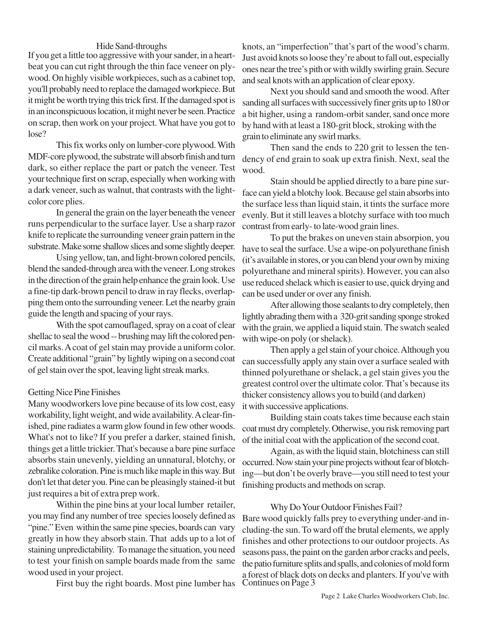#### Hide Sand-throughs

If you get a little too aggressive with your sander, in a heartbeat you can cut right through the thin face veneer on plywood. On highly visible workpieces, such as a cabinet top, you'll probably need to replace the damaged workpiece. But it might be worth trying this trick first. If the damaged spot is in an inconspicuous location, it might never be seen. Practice on scrap, then work on your project. What have you got to lose?

This fix works only on lumber-core plywood. With MDF-core plywood, the substrate will absorb finish and turn dark, so either replace the part or patch the veneer. Test your technique first on scrap, especially when working with a dark veneer, such as walnut, that contrasts with the lightcolor core plies.

In general the grain on the layer beneath the veneer runs perpendicular to the surface layer. Use a sharp razor knife to replicate the surrounding veneer grain pattern in the substrate. Make some shallow slices and some slightly deeper.

Using yellow, tan, and light-brown colored pencils, blend the sanded-through area with the veneer. Long strokes in the direction of the grain help enhance the grain look. Use a fine-tip dark-brown pencil to draw in ray flecks, overlapping them onto the surrounding veneer. Let the nearby grain guide the length and spacing of your rays.

With the spot camouflaged, spray on a coat of clear shellac to seal the wood -- brushing may lift the colored pencil marks. A coat of gel stain may provide a uniform color. Create additional "grain" by lightly wiping on a second coat of gel stain over the spot, leaving light streak marks.

## Getting Nice Pine Finishes

Many woodworkers love pine because of its low cost, easy workability, light weight, and wide availability. A clear-finished, pine radiates a warm glow found in few other woods. What's not to like? If you prefer a darker, stained finish, things get a little trickier. That's because a bare pine surface absorbs stain unevenly, yielding an unnatural, blotchy, or zebralike coloration. Pine is much like maple in this way. But don't let that deter you. Pine can be pleasingly stained-it but just requires a bit of extra prep work.

Within the pine bins at your local lumber retailer, you may find any number of tree species loosely defined as "pine." Even within the same pine species, boards can vary greatly in how they absorb stain. That adds up to a lot of staining unpredictability. To manage the situation, you need to test your finish on sample boards made from the same wood used in your project.

First buy the right boards. Most pine lumber has

knots, an "imperfection" that's part of the wood's charm. Just avoid knots so loose they're about to fall out, especially ones near the tree's pith or with wildly swirling grain. Secure and seal knots with an application of clear epoxy.

Next you should sand and smooth the wood. After sanding all surfaces with successively finer grits up to 180 or a bit higher, using a random-orbit sander, sand once more by hand with at least a 180-grit block, stroking with the grain to eliminate any swirl marks.

Then sand the ends to 220 grit to lessen the tendency of end grain to soak up extra finish. Next, seal the wood.

Stain should be applied directly to a bare pine surface can yield a blotchy look. Because gel stain absorbs into the surface less than liquid stain, it tints the surface more evenly. But it still leaves a blotchy surface with too much contrast from early- to late-wood grain lines.

To put the brakes on uneven stain absorpion, you have to seal the surface. Use a wipe-on polyurethane finish (it's available in stores, or you can blend your own by mixing polyurethane and mineral spirits). However, you can also use reduced shelack which is easier to use, quick drying and can be used under or over any finish.

After allowing those sealants to dry completely, then lightly abrading them with a 320-grit sanding sponge stroked with the grain, we applied a liquid stain. The swatch sealed with wipe-on poly (or shelack).

Then apply a gel stain of your choice. Although you can successfully apply any stain over a surface sealed with thinned polyurethane or shelack, a gel stain gives you the greatest control over the ultimate color. That's because its thicker consistency allows you to build (and darken) it with successive applications.

Building stain coats takes time because each stain coat must dry completely. Otherwise, you risk removing part of the initial coat with the application of the second coat.

Again, as with the liquid stain, blotchiness can still occurred. Now stain your pine projects without fear of blotching—but don't be overly brave—you still need to test your finishing products and methods on scrap.

## Why Do Your Outdoor Finishes Fail?

Bare wood quickly falls prey to everything under-and including-the sun. To ward off the brutal elements, we apply finishes and other protections to our outdoor projects. As seasons pass, the paint on the garden arbor cracks and peels, the patio furniture splits and spalls, and colonies of mold form a forest of black dots on decks and planters. If you've with Continues on Page 3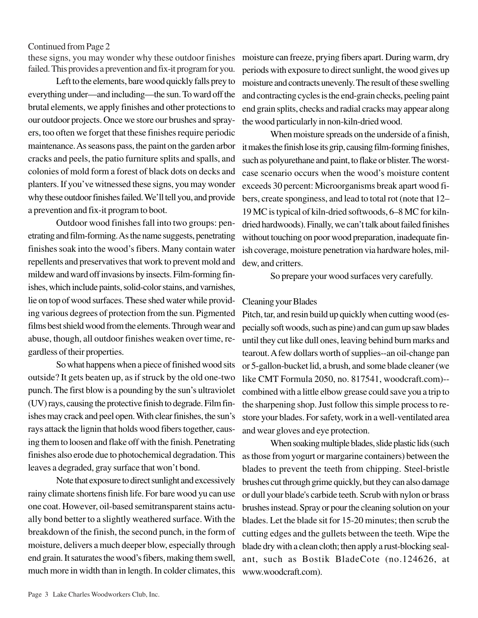#### Continued from Page 2

these signs, you may wonder why these outdoor finishes failed. This provides a prevention and fix-it program for you.

Left to the elements, bare wood quickly falls prey to everything under—and including—the sun. To ward off the brutal elements, we apply finishes and other protections to our outdoor projects. Once we store our brushes and sprayers, too often we forget that these finishes require periodic maintenance. As seasons pass, the paint on the garden arbor cracks and peels, the patio furniture splits and spalls, and colonies of mold form a forest of black dots on decks and planters. If you've witnessed these signs, you may wonder why these outdoor finishes failed. We'll tell you, and provide a prevention and fix-it program to boot.

Outdoor wood finishes fall into two groups: penetrating and film-forming. As the name suggests, penetrating finishes soak into the wood's fibers. Many contain water repellents and preservatives that work to prevent mold and mildew and ward off invasions by insects. Film-forming finishes, which include paints, solid-color stains, and varnishes, lie on top of wood surfaces. These shed water while providing various degrees of protection from the sun. Pigmented films best shield wood from the elements. Through wear and abuse, though, all outdoor finishes weaken over time, regardless of their properties.

So what happens when a piece of finished wood sits outside? It gets beaten up, as if struck by the old one-two punch. The first blow is a pounding by the sun's ultraviolet (UV) rays, causing the protective finish to degrade. Film finishes may crack and peel open. With clear finishes, the sun's rays attack the lignin that holds wood fibers together, causing them to loosen and flake off with the finish. Penetrating finishes also erode due to photochemical degradation. This leaves a degraded, gray surface that won't bond.

Note that exposure to direct sunlight and excessively rainy climate shortens finish life. For bare wood yu can use one coat. However, oil-based semitransparent stains actually bond better to a slightly weathered surface. With the breakdown of the finish, the second punch, in the form of moisture, delivers a much deeper blow, especially through end grain. It saturates the wood's fibers, making them swell, much more in width than in length. In colder climates, this

moisture can freeze, prying fibers apart. During warm, dry periods with exposure to direct sunlight, the wood gives up moisture and contracts unevenly. The result of these swelling and contracting cycles is the end-grain checks, peeling paint end grain splits, checks and radial cracks may appear along the wood particularly in non-kiln-dried wood.

When moisture spreads on the underside of a finish, it makes the finish lose its grip, causing film-forming finishes, such as polyurethane and paint, to flake or blister. The worstcase scenario occurs when the wood's moisture content exceeds 30 percent: Microorganisms break apart wood fibers, create sponginess, and lead to total rot (note that 12– 19 MC is typical of kiln-dried softwoods, 6–8 MC for kilndried hardwoods). Finally, we can't talk about failed finishes without touching on poor wood preparation, inadequate finish coverage, moisture penetration via hardware holes, mildew, and critters.

So prepare your wood surfaces very carefully.

## Cleaning your Blades

Pitch, tar, and resin build up quickly when cutting wood (especially soft woods, such as pine) and can gum up saw blades until they cut like dull ones, leaving behind burn marks and tearout. A few dollars worth of supplies--an oil-change pan or 5-gallon-bucket lid, a brush, and some blade cleaner (we like CMT Formula 2050, no. 817541, woodcraft.com)- combined with a little elbow grease could save you a trip to the sharpening shop. Just follow this simple process to restore your blades. For safety, work in a well-ventilated area and wear gloves and eye protection.

When soaking multiple blades, slide plastic lids (such as those from yogurt or margarine containers) between the blades to prevent the teeth from chipping. Steel-bristle brushes cut through grime quickly, but they can also damage or dull your blade's carbide teeth. Scrub with nylon or brass brushes instead. Spray or pour the cleaning solution on your blades. Let the blade sit for 15-20 minutes; then scrub the cutting edges and the gullets between the teeth. Wipe the blade dry with a clean cloth; then apply a rust-blocking sealant, such as Bostik BladeCote (no.124626, at www.woodcraft.com).